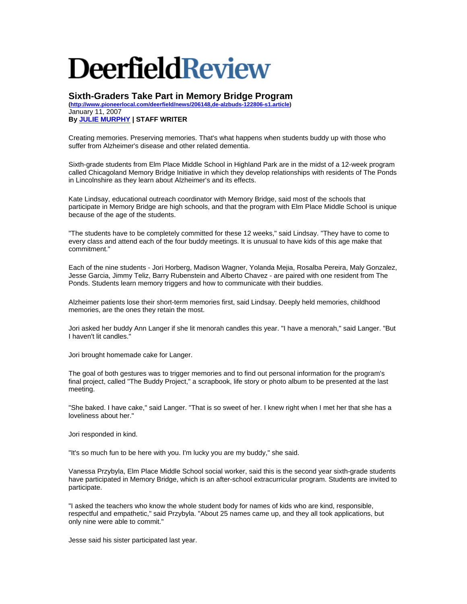## **DeerfieldReview**

**Sixth-Graders Take Part in Memory Bridge Program** 

**([http://www.pioneerlocal.com/deerfield/news/206148,de-alzbuds-122806-s1.article\)](http://www.pioneerlocal.com/deerfield/news/206148,de-alzbuds-122806-s1.article)** January 11, 2007

**By [JULIE MURPHY](mailto:jmurphy@pioneerlocal.com) | STAFF WRITER** 

Creating memories. Preserving memories. That's what happens when students buddy up with those who suffer from Alzheimer's disease and other related dementia.

Sixth-grade students from Elm Place Middle School in Highland Park are in the midst of a 12-week program called Chicagoland Memory Bridge Initiative in which they develop relationships with residents of The Ponds in Lincolnshire as they learn about Alzheimer's and its effects.

Kate Lindsay, educational outreach coordinator with Memory Bridge, said most of the schools that participate in Memory Bridge are high schools, and that the program with Elm Place Middle School is unique because of the age of the students.

"The students have to be completely committed for these 12 weeks," said Lindsay. "They have to come to every class and attend each of the four buddy meetings. It is unusual to have kids of this age make that commitment."

Each of the nine students - Jori Horberg, Madison Wagner, Yolanda Mejia, Rosalba Pereira, Maly Gonzalez, Jesse Garcia, Jimmy Teliz, Barry Rubenstein and Alberto Chavez - are paired with one resident from The Ponds. Students learn memory triggers and how to communicate with their buddies.

Alzheimer patients lose their short-term memories first, said Lindsay. Deeply held memories, childhood memories, are the ones they retain the most.

Jori asked her buddy Ann Langer if she lit menorah candles this year. "I have a menorah," said Langer. "But I haven't lit candles."

Jori brought homemade cake for Langer.

The goal of both gestures was to trigger memories and to find out personal information for the program's final project, called "The Buddy Project," a scrapbook, life story or photo album to be presented at the last meeting.

"She baked. I have cake," said Langer. "That is so sweet of her. I knew right when I met her that she has a loveliness about her."

Jori responded in kind.

"It's so much fun to be here with you. I'm lucky you are my buddy," she said.

Vanessa Przybyla, Elm Place Middle School social worker, said this is the second year sixth-grade students have participated in Memory Bridge, which is an after-school extracurricular program. Students are invited to participate.

"I asked the teachers who know the whole student body for names of kids who are kind, responsible, respectful and empathetic," said Przybyla. "About 25 names came up, and they all took applications, but only nine were able to commit."

Jesse said his sister participated last year.